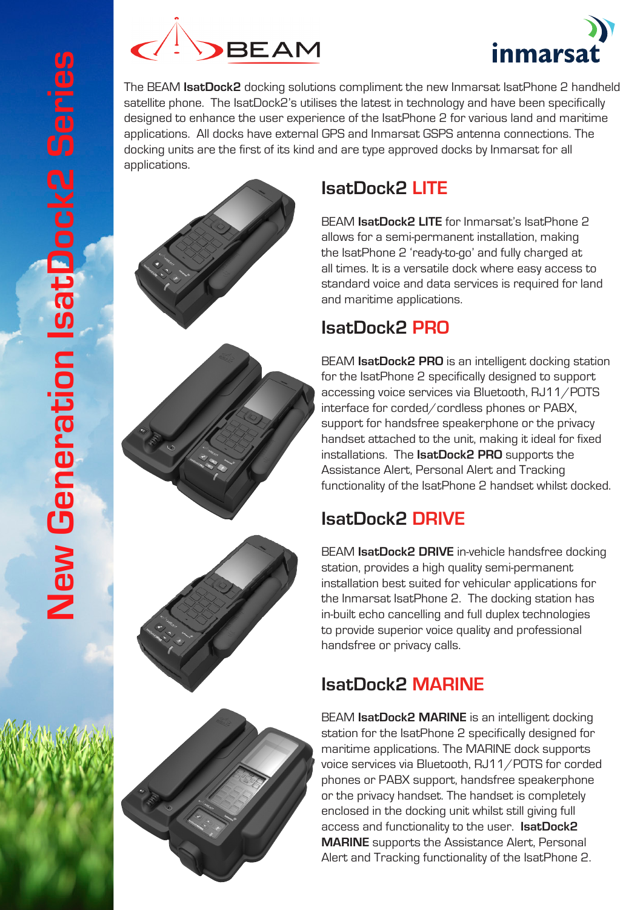



The BEAM **IsatDock2** docking solutions compliment the new Inmarsat IsatPhone 2 handheld satellite phone. The IsatDock2's utilises the latest in technology and have been specifically designed to enhance the user experience of the IsatPhone 2 for various land and maritime applications. All docks have external GPS and Inmarsat GSPS antenna connections. The docking units are the first of its kind and are type approved docks by Inmarsat for all applications.

## **IsatDock2 LITE**

BEAM **IsatDock2 LITE** for Inmarsat's IsatPhone 2 allows for a semi-permanent installation, making the IsatPhone 2 'ready-to-go' and fully charged at all times. It is a versatile dock where easy access to standard voice and data services is required for land and maritime applications.

#### **IsatDock2 PRO**

BEAM **IsatDock2 PRO** is an intelligent docking station for the IsatPhone 2 specifically designed to support accessing voice services via Bluetooth, RJ11/POTS interface for corded/cordless phones or PABX, support for handsfree speakerphone or the privacy handset attached to the unit, making it ideal for fixed installations. The **IsatDock2 PRO** supports the Assistance Alert, Personal Alert and Tracking functionality of the IsatPhone 2 handset whilst docked.

## **IsatDock2 DRIVE**

BEAM **IsatDock2 DRIVE** in-vehicle handsfree docking station, provides a high quality semi-permanent installation best suited for vehicular applications for the Inmarsat IsatPhone 2. The docking station has in-built echo cancelling and full duplex technologies to provide superior voice quality and professional handsfree or privacy calls.

## **IsatDock2 MARINE**

BEAM **IsatDock2 MARINE** is an intelligent docking station for the IsatPhone 2 specifically designed for maritime applications. The MARINE dock supports voice services via Bluetooth, RJ11/POTS for corded phones or PABX support, handsfree speakerphone or the privacy handset. The handset is completely enclosed in the docking unit whilst still giving full access and functionality to the user. **IsatDock2 MARINE** supports the Assistance Alert, Personal Alert and Tracking functionality of the IsatPhone 2.